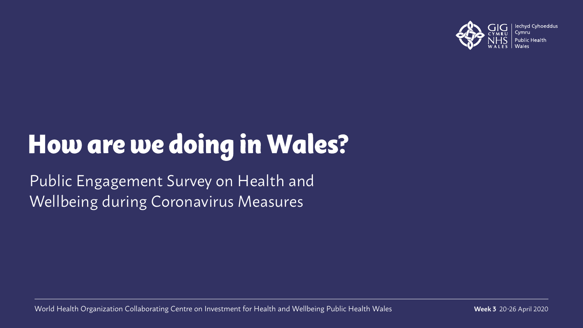

# How are we doing in Wales?

Public Engagement Survey on Health and Wellbeing during Coronavirus Measures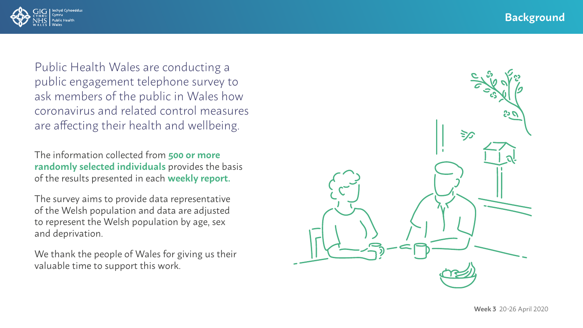

Public Health Wales are conducting a public engagement telephone survey to ask members of the public in Wales how coronavirus and related control measures are affecting their health and wellbeing.

The information collected from **500 or more randomly selected individuals** provides the basis of the results presented in each **weekly report.**

The survey aims to provide data representative of the Welsh population and data are adjusted to represent the Welsh population by age, sex and deprivation.

We thank the people of Wales for giving us their valuable time to support this work.

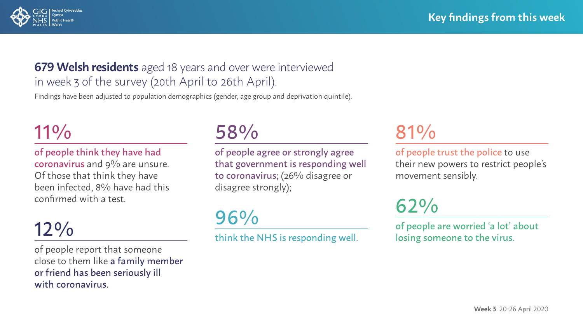

### **679 Welsh residents** aged 18 years and over were interviewed in week 3 of the survey (20th April to 26th April).

Findings have been adjusted to population demographics (gender, age group and deprivation quintile).

### 11%

of people think they have had coronavirus and 9% are unsure. Of those that think they have been infected, 8% have had this confirmed with a test.

### 12%

of people report that someone close to them like a family member or friend has been seriously ill with coronavirus.

58%

of people agree or strongly agree that government is responding well to coronavirus; (26% disagree or disagree strongly);

96%

think the NHS is responding well.

# 81%

of people trust the police to use their new powers to restrict people's movement sensibly.

62%

of people are worried 'a lot' about losing someone to the virus.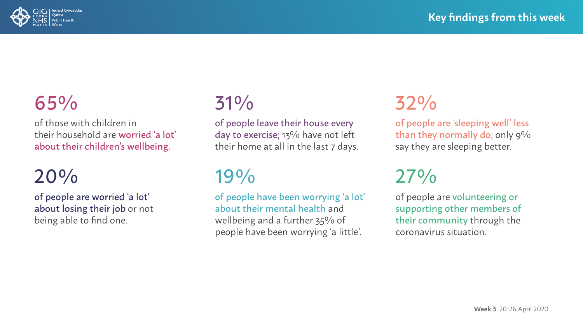

# 65%

of those with children in their household are worried 'a lot' about their children's wellbeing.

### 20%

of people are worried 'a lot' about losing their job or not being able to find one.

# 31%

of people leave their house every day to exercise; 13% have not left their home at all in the last 7 days.

### 19%

of people have been worrying 'a lot' about their mental health and wellbeing and a further 35% of people have been worrying 'a little'.

# 32%

of people are 'sleeping well' less than they normally do; only 9% say they are sleeping better.

# 27%

of people are volunteering or supporting other members of their community through the coronavirus situation.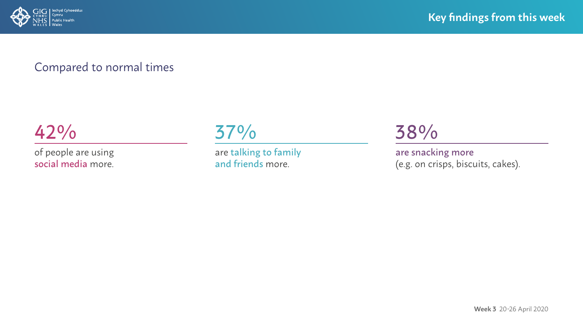

### Compared to normal times

42%

of people are using social media more.



are talking to family and friends more.

38%

are snacking more (e.g. on crisps, biscuits, cakes).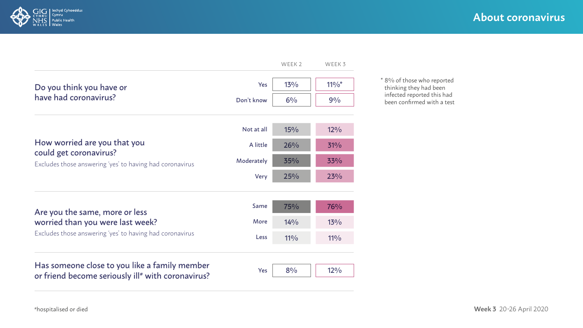



\* 8% of those who reported thinking they had been infected reported this had been confirmed with a test

|                                                                                                                    | Not at all | $15\%$ | 12% |
|--------------------------------------------------------------------------------------------------------------------|------------|--------|-----|
| How worried are you that you<br>could get coronavirus?<br>Excludes those answering 'yes' to having had coronavirus | A little   | 26%    | 31% |
|                                                                                                                    | Moderately | 35%    | 33% |
|                                                                                                                    | Very       | 25%    | 23% |

| Are you the same, more or less<br>worried than you were last week?<br>Excludes those answering 'yes' to having had coronavirus | Same | 75%             | 76%    |
|--------------------------------------------------------------------------------------------------------------------------------|------|-----------------|--------|
|                                                                                                                                | More | $14\frac{0}{0}$ | 13%    |
|                                                                                                                                | Less | 110/2           | $11\%$ |

#### Has someone close to you like a family member or friend become seriously ill<sup>#</sup> with coronavirus?

|--|--|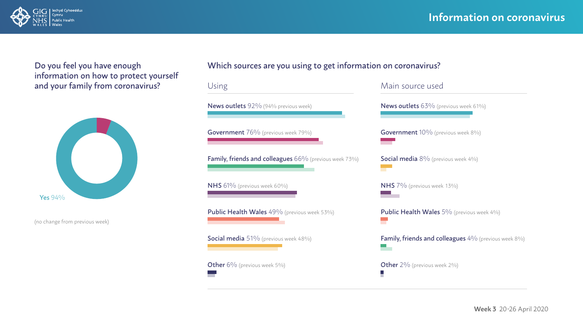

Do you feel you have enough information on how to protect yourself and your family from coronavirus?



(no change from previous week)

#### Which sources are you using to get information on coronavirus?

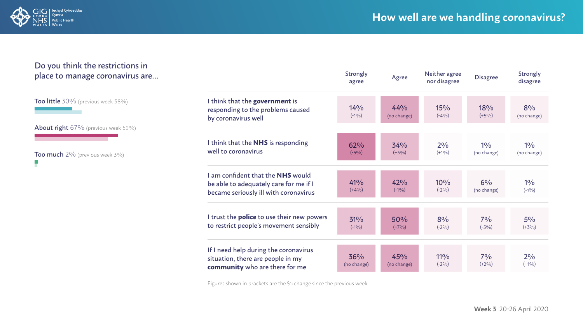

#### Do you think the restrictions in place to manage coronavirus are…

Too little 30% (previous week 38%)

About right 67% (previous week 59%)

Too much 2% (previous week 3%) F

|                                                                                                                      | Strongly<br>agree  | Agree              | Neither agree<br>nor disagree | <b>Disagree</b>     | Strongly<br>disagree |
|----------------------------------------------------------------------------------------------------------------------|--------------------|--------------------|-------------------------------|---------------------|----------------------|
| I think that the government is<br>responding to the problems caused<br>by coronavirus well                           | 14%<br>$(-1\%)$    | 44%<br>(no change) | 15%<br>$(-4\%)$               | 18%<br>$(+5%)$      | 8%<br>(no change)    |
| I think that the NHS is responding<br>well to coronavirus                                                            | 62%<br>$(-5%)$     | 34%<br>$(+3%)$     | 2%<br>$(+1\%)$                | 10/0<br>(no change) | 10/6<br>(no change)  |
| I am confident that the NHS would<br>be able to adequately care for me if I<br>became seriously ill with coronavirus | 41%<br>$(+4%)$     | 42%<br>$(-1\%)$    | 10%<br>$(-2\%)$               | 6%<br>(no change)   | 10/0<br>$(-1\%)$     |
| I trust the <b>police</b> to use their new powers<br>to restrict people's movement sensibly                          | 31%<br>$(-1\%)$    | 50%<br>$(+7%)$     | 8%<br>$(-2%)$                 | $7\%$<br>$(-5\%)$   | $5\%$<br>$(+3%)$     |
| If I need help during the coronavirus<br>situation, there are people in my<br>community who are there for me         | 36%<br>(no change) | 45%<br>(no change) | $11\%$<br>$(-2\%)$            | $7\%$<br>$(+2%)$    | 2%<br>$(+1\%)$       |

Figures shown in brackets are the % change since the previous week.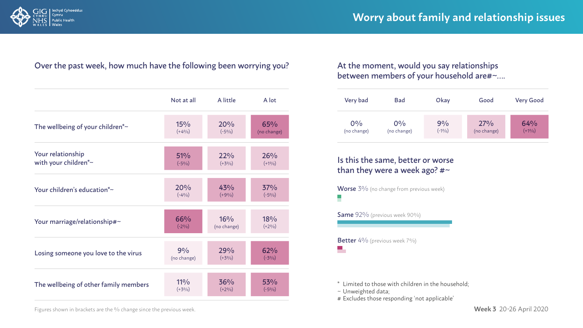

#### Over the past week, how much have the following been worrying you? At the moment, would you say relationships

|                                               | Not at all  | A little    | A lot       |
|-----------------------------------------------|-------------|-------------|-------------|
| The wellbeing of your children <sup>*</sup> ~ | 15%         | 20%         | 65%         |
|                                               | $(+4%)$     | $(-5\%)$    | (no change) |
| Your relationship                             | 51%         | 22%         | 26%         |
| with your children*~                          | $(-5\%)$    | $(+3%)$     | $(+1\%)$    |
| Your children's education*~                   | 20%         | 43%         | 37%         |
|                                               | $(-4%)$     | $(+9%)$     | $(-5%)$     |
| Your marriage/relationship#~                  | 66%         | 16%         | 18%         |
|                                               | $(-2%)$     | (no change) | $(+2%)$     |
| Losing someone you love to the virus          | 9%          | 29%         | 62%         |
|                                               | (no change) | $(+3%)$     | $(-3\%)$    |
| The wellbeing of other family members         | $11\%$      | 36%         | 53%         |
|                                               | $(+3%)$     | $(+2\%)$    | $(-5%)$     |

### between members of your household are#~….

| Very bad    | Bad         | Okay    | Good        | <b>Very Good</b> |
|-------------|-------------|---------|-------------|------------------|
| $0\%$       | $0\%$       | 9%      | 27%         | 64%              |
| (no change) | (no change) | $(-1%)$ | (no change) | $(+1%)$          |

#### Is this the same, better or worse than they were a week ago?  $#$ ~

**Worse** 3% (no change from previous week) Н

Same 92% (previous week 90%)

Better 4% (previous week 7%)  $\Box$ 

\* Limited to those with children in the household;

~ Unweighted data;

# Excludes those responding 'not applicable'

Figures shown in brackets are the % change since the previous week.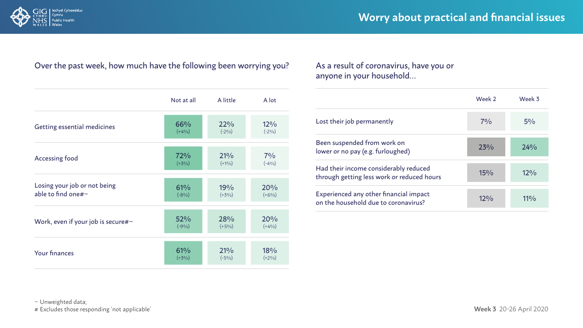

#### Over the past week, how much have the following been worrying you? As a result of coronavirus, have you or

|                                    | Not at all | A little | A lot    |
|------------------------------------|------------|----------|----------|
| <b>Getting essential medicines</b> | 66%        | 22%      | 12%      |
|                                    | $(+4%)$    | $(-2%)$  | $(-2%)$  |
| <b>Accessing food</b>              | 72%        | 21%      | $7\%$    |
|                                    | $(+3%)$    | $(+1\%)$ | $(-4\%)$ |
| Losing your job or not being       | 61%        | 19%      | 20%      |
| able to find one#~                 | $(-8%)$    | $(+3%)$  | $(+6%)$  |
| Work, even if your job is secure#~ | 52%        | 28%      | 20%      |
|                                    | $(-9\%)$   | $(+5%)$  | $(+4%)$  |
| <b>Your finances</b>               | 61%        | 21%      | 18%      |
|                                    | $(+3%)$    | $(-5%)$  | $(+2%)$  |

### anyone in your household…

|                                                                                     | Week 2 | Week 3 |
|-------------------------------------------------------------------------------------|--------|--------|
| Lost their job permanently                                                          | 70/6   | $5\%$  |
| Been suspended from work on<br>lower or no pay (e.g. furloughed)                    | 23%    | 24%    |
| Had their income considerably reduced<br>through getting less work or reduced hours | 15%    | 12%    |
| Experienced any other financial impact<br>on the household due to coronavirus?      | 12%    | $11\%$ |

~ Unweighted data;

# Excludes those responding 'not applicable'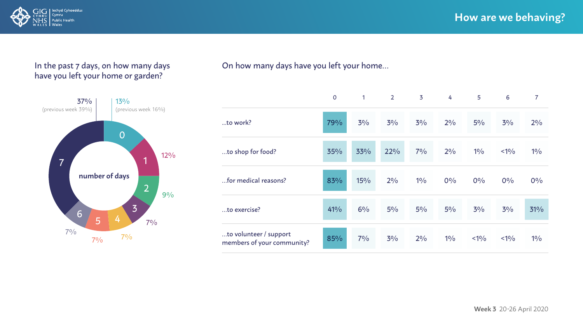

#### In the past 7 days, on how many days have you left your home or garden?



#### On how many days have you left your home…

|                                                      | $\mathbf 0$ | 1   | $\overline{2}$ | $\overline{3}$ | 4     | 5      | 6      | $\overline{7}$ |
|------------------------------------------------------|-------------|-----|----------------|----------------|-------|--------|--------|----------------|
| to work?                                             | 79%         | 3%  | $3\%$          | 3%             | 2%    | $5\%$  | 3%     | 2%             |
| to shop for food?                                    | 35%         | 33% | 22%            | 7%             | 2%    | 10/6   | < 10/6 | 10/6           |
| for medical reasons?                                 | 83%         | 15% | 2%             | 10/6           | 0%    | 0%     | 0%     | 0%             |
| to exercise?                                         | 41%         | 6%  | $5\%$          | $5\%$          | $5\%$ | 3%     | 3%     | 31%            |
| to volunteer / support<br>members of your community? | 85%         | 7%  | 3%             | 2%             | $1\%$ | < 10/6 | < 10/6 | 10/6           |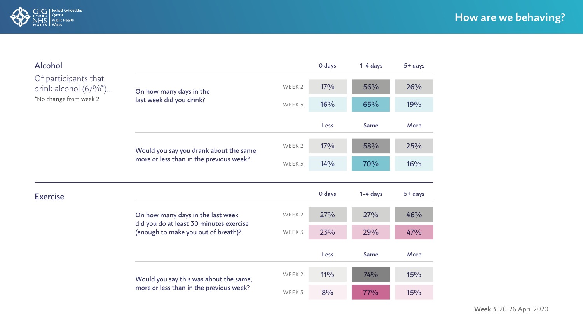

| Alcohol                                                                      |                                                                                |                   | 0 days | $1-4$ days | $5 + days$ |
|------------------------------------------------------------------------------|--------------------------------------------------------------------------------|-------------------|--------|------------|------------|
| Of participants that<br>drink alcohol $(67\%/o^*)$<br>*No change from week 2 | On how many days in the<br>last week did you drink?                            | WEEK <sub>2</sub> | $17\%$ | 56%        | 26%        |
|                                                                              |                                                                                | WEEK 3            | 16%    | 65%        | 19%        |
|                                                                              |                                                                                |                   | Less   | Same       | More       |
|                                                                              | Would you say you drank about the same,                                        | WEEK <sub>2</sub> | $17\%$ | 58%        | 25%        |
|                                                                              | more or less than in the previous week?                                        | WEEK 3            | 14%    | 70%        | 16%        |
|                                                                              |                                                                                |                   |        |            |            |
| <b>Exercise</b>                                                              |                                                                                |                   | 0 days | $1-4$ days | $5 + days$ |
|                                                                              | On how many days in the last week                                              | WEEK <sub>2</sub> | 27%    | 27%        | 46%        |
|                                                                              | did you do at least 30 minutes exercise<br>(enough to make you out of breath)? | WEEK 3            | 23%    | 29%        | 47%        |
|                                                                              |                                                                                |                   | Less   | Same       | More       |
|                                                                              | Would you say this was about the same,                                         | WEEK 2            | $11\%$ | 74%        | 15%        |
|                                                                              | more or less than in the previous week?                                        | WEEK 3            | 8%     | 77%        | 15%        |

**Week 3** 20-26 April 2020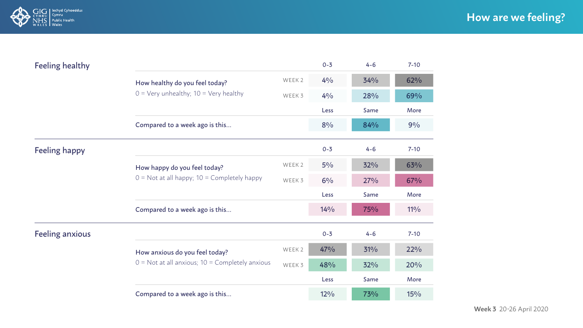

| <b>Feeling healthy</b> |                                                                                 |                   | $0 - 3$        | $4 - 6$ | $7 - 10$ |  |  |
|------------------------|---------------------------------------------------------------------------------|-------------------|----------------|---------|----------|--|--|
|                        | How healthy do you feel today?                                                  | WEEK 2            | $4\frac{0}{0}$ | 34%     | 62%      |  |  |
|                        | $0 = \text{Very un healthy}$ ; 10 = Very healthy                                | WEEK 3            | 4%             | 28%     | 69%      |  |  |
|                        |                                                                                 |                   |                |         |          |  |  |
|                        | Compared to a week ago is this                                                  |                   | 8%             | 84%     | 9%       |  |  |
| <b>Feeling happy</b>   |                                                                                 |                   | $0 - 3$        | $4 - 6$ | $7-10$   |  |  |
|                        | How happy do you feel today?<br>$0 =$ Not at all happy; $10 =$ Completely happy | WEEK <sub>2</sub> | $5\%$          | 32%     | 63%      |  |  |
|                        |                                                                                 | WEEK 3            | $6\%$          | 27%     | 67%      |  |  |
|                        |                                                                                 |                   | Less           | Same    | More     |  |  |
|                        | Compared to a week ago is this                                                  |                   | 14%            | 75%     | $11\%$   |  |  |
| <b>Feeling anxious</b> |                                                                                 |                   | $0 - 3$        | $4 - 6$ | $7-10$   |  |  |
|                        | How anxious do you feel today?                                                  | WEEK 2            | 47%            | 31%     | 22%      |  |  |
|                        | $0 =$ Not at all anxious; $10 =$ Completely anxious                             | WEEK 3            | 48%            | 32%     | 20%      |  |  |
|                        |                                                                                 |                   | Less           | Same    | More     |  |  |
|                        | Compared to a week ago is this                                                  |                   | 12%            | 73%     | 15%      |  |  |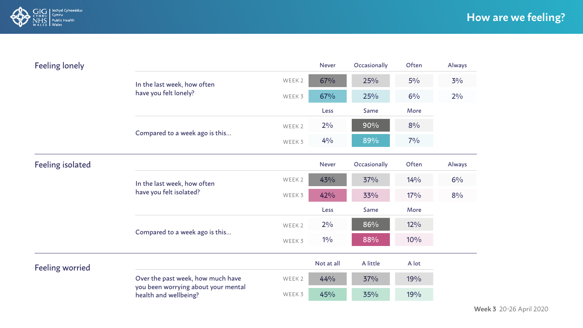

| <b>Feeling lonely</b>   |                                                              |                   | <b>Never</b>   | Occasionally | Often  | Always |
|-------------------------|--------------------------------------------------------------|-------------------|----------------|--------------|--------|--------|
|                         | In the last week, how often                                  | WEEK 2            | 67%            | 25%          | $5\%$  | $3\%$  |
|                         | have you felt lonely?                                        | WEEK 3            | 67%            | 25%          | 6%     | $2\%$  |
|                         |                                                              |                   | Less           | Same         | More   |        |
|                         |                                                              | WEEK <sub>2</sub> | $2\%$          | 90%          | 8%     |        |
|                         | Compared to a week ago is this                               | WEEK 3            | $4\frac{0}{0}$ | 89%          | $7\%$  |        |
| <b>Feeling isolated</b> |                                                              |                   | <b>Never</b>   | Occasionally | Often  | Always |
|                         | In the last week, how often<br>have you felt isolated?       | WEEK <sub>2</sub> | 43%            | 37%          | 14%    | 6%     |
|                         |                                                              | WEEK 3            | 42%            | 33%          | $17\%$ | 8%     |
|                         |                                                              |                   | Less           | Same         | More   |        |
|                         |                                                              | WEEK 2            | $2\%$          | 86%          | $12\%$ |        |
|                         | Compared to a week ago is this                               | WEEK 3            | 10/6           | 88%          | 10%    |        |
| <b>Feeling worried</b>  |                                                              |                   | Not at all     | A little     | A lot  |        |
|                         | Over the past week, how much have                            | WEEK 2            | 44%            | 37%          | 19%    |        |
|                         | you been worrying about your mental<br>health and wellbeing? | WEEK 3            | 45%            | 35%          | 19%    |        |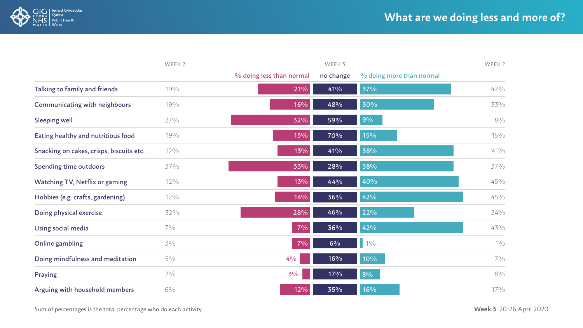

|                                          | WEEK <sub>2</sub> |                          | WEEK 3    |                          |        |
|------------------------------------------|-------------------|--------------------------|-----------|--------------------------|--------|
|                                          |                   | % doing less than normal | no change | % doing more than normal |        |
| Talking to family and friends            | 19%               | 21%                      | 41%       | 37%                      | 42%    |
| Communicating with neighbours            | 19%               | 16%                      | 48%       | 30%                      | 33%    |
| Sleeping well                            | 27%               | 32%                      | 59%       | 9%                       | $8\%$  |
| Eating healthy and nutritious food       | 19%               | 15%                      | 70%       | 15%                      | $15\%$ |
| Snacking on cakes, crisps, biscuits etc. | $12\%$            | 13%                      | 41%       | 38%                      | $41\%$ |
| Spending time outdoors                   | 37%               | 33%                      | 28%       | 38%                      | 37%    |
| Watching TV, Netflix or gaming           | 12%               | 13%                      | 44%       | 40%                      | 45%    |
| Hobbies (e.g. crafts, gardening)         | $12\%$            | 14%                      | 36%       | 42%                      | 45%    |
| Doing physical exercise                  | 32%               | 28%                      | 46%       | 22%                      | $24\%$ |
| Using social media                       | $7\%$             | $7\%$                    | 36%       | 42%                      | 43%    |
| Online gambling                          | $3\%$             | $7\%$                    | 6%        | $1\%$                    | 10/0   |
| Doing mindfulness and meditation         | $5\%$             | 4%                       | 16%       | 10%                      | $7\%$  |
| Praying                                  | $2\%$             | $3\%$                    | 17%       | 8%                       | $8\%$  |
| Arguing with household members           | $6\%$             | 12%                      | 35%       | 16%                      | $17\%$ |

Sum of percentages is the total percentage who do each activity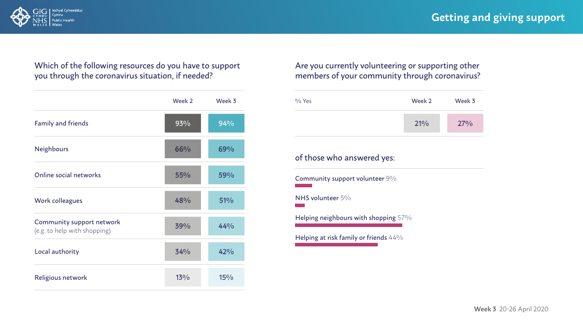

#### Which of the following resources do you have to support you through the coronavirus situation, if needed?

|                                                           | Week 2 | Week 3 |
|-----------------------------------------------------------|--------|--------|
| <b>Family and friends</b>                                 | 93%    | 94%    |
| <b>Neighbours</b>                                         | 66%    | 69%    |
| Online social networks                                    | $55\%$ | 59%    |
| <b>Work colleagues</b>                                    | 48%    | 51%    |
| Community support network<br>(e.g. to help with shopping) | 39%    | 44%    |
| Local authority                                           | 34%    | 42%    |
| Religious network                                         | 13%    | 15%    |

#### Are you currently volunteering or supporting other members of your community through coronavirus?



#### of those who answered yes:

Community support volunteer 9%

NHS volunteer 5%

Helping neighbours with shopping 57%

Helping at risk family or friends 44%